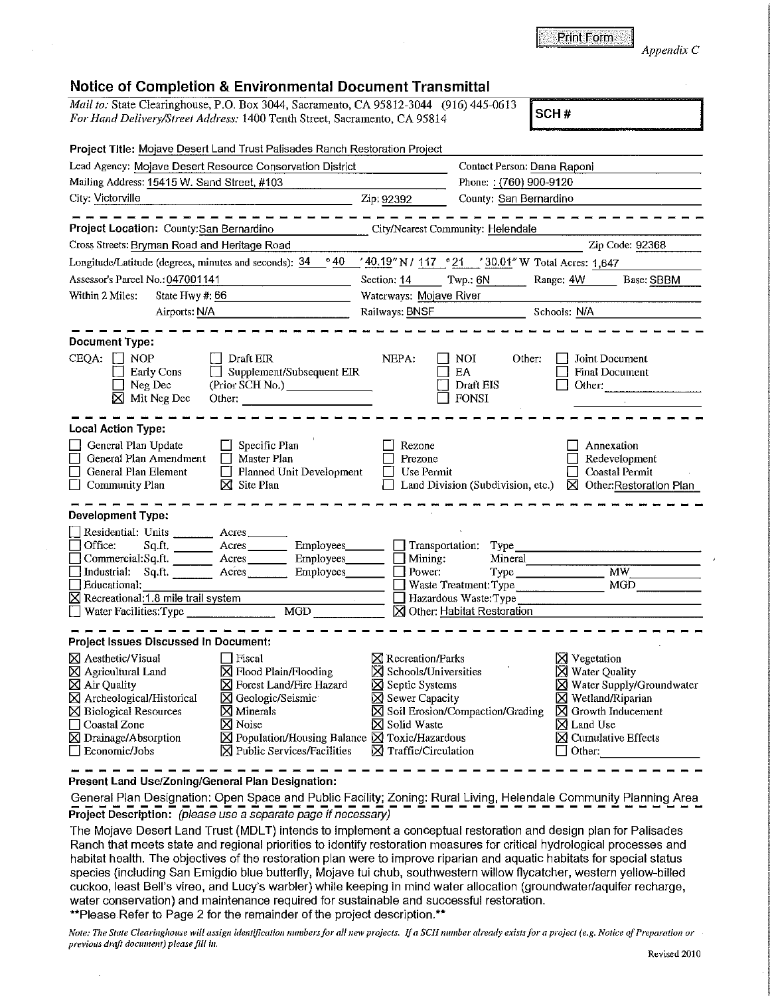*Appendix C* 

## **Notice of Completion** & **Environmental Document Transmittal**

*Mail to: State Clearinghouse, P.O. Box 3044, Sacramento, CA 95812-3044* (916) 445-0613 SCH # For Hand Delivery/Street Address: 1400 Tenth Street, Sacramento, CA 95814

| Project Title: Mojave Desert Land Trust Pallsades Ranch Restoration Project                                                                                                                                                                                                                                                                                                                                                                                                     |                                                                                                                                                                 |                                                                                                                                 |                                                                                                                                                                                                     |  |
|---------------------------------------------------------------------------------------------------------------------------------------------------------------------------------------------------------------------------------------------------------------------------------------------------------------------------------------------------------------------------------------------------------------------------------------------------------------------------------|-----------------------------------------------------------------------------------------------------------------------------------------------------------------|---------------------------------------------------------------------------------------------------------------------------------|-----------------------------------------------------------------------------------------------------------------------------------------------------------------------------------------------------|--|
| Lead Agency: Mojave Desert Resource Conservation District                                                                                                                                                                                                                                                                                                                                                                                                                       |                                                                                                                                                                 | Contact Person: Dana Raponi                                                                                                     |                                                                                                                                                                                                     |  |
| Mailing Address: 15415 W. Sand Street, #103                                                                                                                                                                                                                                                                                                                                                                                                                                     | Phone:: (760) 900-9120                                                                                                                                          |                                                                                                                                 |                                                                                                                                                                                                     |  |
| City: Victorville                                                                                                                                                                                                                                                                                                                                                                                                                                                               | Zip: 92392                                                                                                                                                      | County: San Bernardino                                                                                                          |                                                                                                                                                                                                     |  |
| Project Location: County:San Bernardino                                                                                                                                                                                                                                                                                                                                                                                                                                         | City/Nearest Community: Helendale                                                                                                                               |                                                                                                                                 |                                                                                                                                                                                                     |  |
| Cross Streets: Bryman Road and Heritage Road                                                                                                                                                                                                                                                                                                                                                                                                                                    |                                                                                                                                                                 |                                                                                                                                 | Zip Code: 92368                                                                                                                                                                                     |  |
| $^{\circ}$ 40<br>Longitude/Latitude (degrees, minutes and seconds): 34                                                                                                                                                                                                                                                                                                                                                                                                          |                                                                                                                                                                 | '40.19" N / 117 ° 21 '30.01" W Total Acres: 1,647                                                                               |                                                                                                                                                                                                     |  |
| Assessor's Parcel No.: 047001141                                                                                                                                                                                                                                                                                                                                                                                                                                                |                                                                                                                                                                 | Section: 14 Twp.: 6N Range: 4W<br>Base: SBBM                                                                                    |                                                                                                                                                                                                     |  |
| Within 2 Miles:<br>State Hwy #: 66                                                                                                                                                                                                                                                                                                                                                                                                                                              |                                                                                                                                                                 | Waterways: Mojave River                                                                                                         |                                                                                                                                                                                                     |  |
| Airports: N/A                                                                                                                                                                                                                                                                                                                                                                                                                                                                   |                                                                                                                                                                 | Railways: BNSF<br>Schools: N/A                                                                                                  |                                                                                                                                                                                                     |  |
| Document Type:<br>CEQA: $\Box$ NOP<br>Draft EIR<br>Supplement/Subsequent EIR<br><b>Early Cons</b><br>$\Box$ Neg Dec<br>$\boxtimes$ Mit Neg Dec<br>Other:                                                                                                                                                                                                                                                                                                                        | NEPA:                                                                                                                                                           | NOI<br>Other:<br><b>EA</b><br>Draft EIS<br><b>FONSI</b>                                                                         | Joint Document<br><b>Final Document</b><br>Other:                                                                                                                                                   |  |
| <b>Local Action Type:</b>                                                                                                                                                                                                                                                                                                                                                                                                                                                       |                                                                                                                                                                 |                                                                                                                                 |                                                                                                                                                                                                     |  |
| $\Box$ Specific Plan<br>General Plan Update<br>General Plan Amendment<br>Master Plan<br>General Plan Element<br>$\Box$ Planned Unit Development<br>$\boxtimes$ Site Plan<br><b>Community Plan</b>                                                                                                                                                                                                                                                                               | Rezone<br>Prezone<br><b>Use Permit</b>                                                                                                                          |                                                                                                                                 | Annexation<br>Redevelopment<br>Coastal Permit<br>Land Division (Subdivision, etc.) $\boxtimes$ Other: Restoration Plan                                                                              |  |
| Development Type:                                                                                                                                                                                                                                                                                                                                                                                                                                                               |                                                                                                                                                                 |                                                                                                                                 |                                                                                                                                                                                                     |  |
| Residential: Units __________ Acres _______<br>П<br>Office:<br>Employees_______<br>Commercial:Sq.ft. <u>Acres</u><br>Employees<br>Industrial: Sq.ft. Acres Proployees<br>  Educational:<br>X Recreational: 1.8 mile trail system<br>Water Facilities: Type                                                                                                                                                                                                                      | $\Box$ Mining:<br>$\Box$ Power:                                                                                                                                 | $\Box$ Transportation: Type<br>Mineral<br>Waste Treatment: Type<br>$\Box$ Hazardous Waste: Type<br>⊠ Other: Habitat Restoration | MW<br>MGD                                                                                                                                                                                           |  |
| Project Issues Discussed in Document:                                                                                                                                                                                                                                                                                                                                                                                                                                           |                                                                                                                                                                 |                                                                                                                                 |                                                                                                                                                                                                     |  |
| <b>X</b> Aesthetic/Visual<br>$\Box$ Fiscal<br>$\boxtimes$ Agricultural Land<br>$\boxtimes$ Flood Plain/Flooding<br>⊠ Air Quality<br>⊠ Forest Land/Fire Hazard<br>X Archeological/Historical<br>⊠ Geologic/Seismic<br>$\boxtimes$ Biological Resources<br>$\times$ Minerals<br>Coastal Zone<br>$\boxtimes$ Noise<br>⊠ Drainage/Absorption<br>$\boxtimes$ Population/Housing Balance $\boxtimes$ Toxic/Hazardous<br>$\Box$ Economic/Jobs<br>$[\times]$ Public Services/Facilities | $\boxtimes$ Recreation/Parks<br>Schools/Universities<br>Septic Systems<br>$\boxtimes$ Sewer Capacity<br><b>X</b> Solid Waste<br>$\boxtimes$ Traffic/Circulation | $\boxtimes$ Soil Erosion/Compaction/Grading                                                                                     | ⊠ Vegetation<br>⊠ Water Quality<br>⊠ Water Supply/Groundwater<br>$\times$ Wetland/Riparian<br>$\boxtimes$ Growth Inducement<br>$\times$ Land Use<br>$\boxtimes$ Cumulative Effects<br>$\Box$ Other: |  |

**Present Land Use/Zoning/General Plan Designation:** 

General Plan Designation: Open Space and Public Facility; Zoning: Rural Living, Helendale Community Planning Area **Project Description:** (please use a separate page if necessary)

The Mojave Desert Land Trust (MDLT) intends to implement a conceptual restoration and design plan for Palisades Ranch that meets state and regional priorities to identify restoration measures for critical hydrological processes and habitat health. The objectives of the restoration plan were to improve riparian and aquatic habitats for special status species (including San Emigdio blue butterfly, Mojave tui chub, southwestern willow flycatcher, western yellow-billed cuckoo, least Bell's vireo, and Lucy's warbler) while keeping in mind water allocation (groundwater/aquifer recharge, water conservation) and maintenance required for sustainable and successful restoration.

\*\*Please Refer to Page 2 for the remainder of the project description.\*\*

*Note: The State Clearinghouse will assign identification numbers for all new projects. If a SCH number already exists for a project (e.g. Notice of Preparation or prel'ious draft document) please fill in.*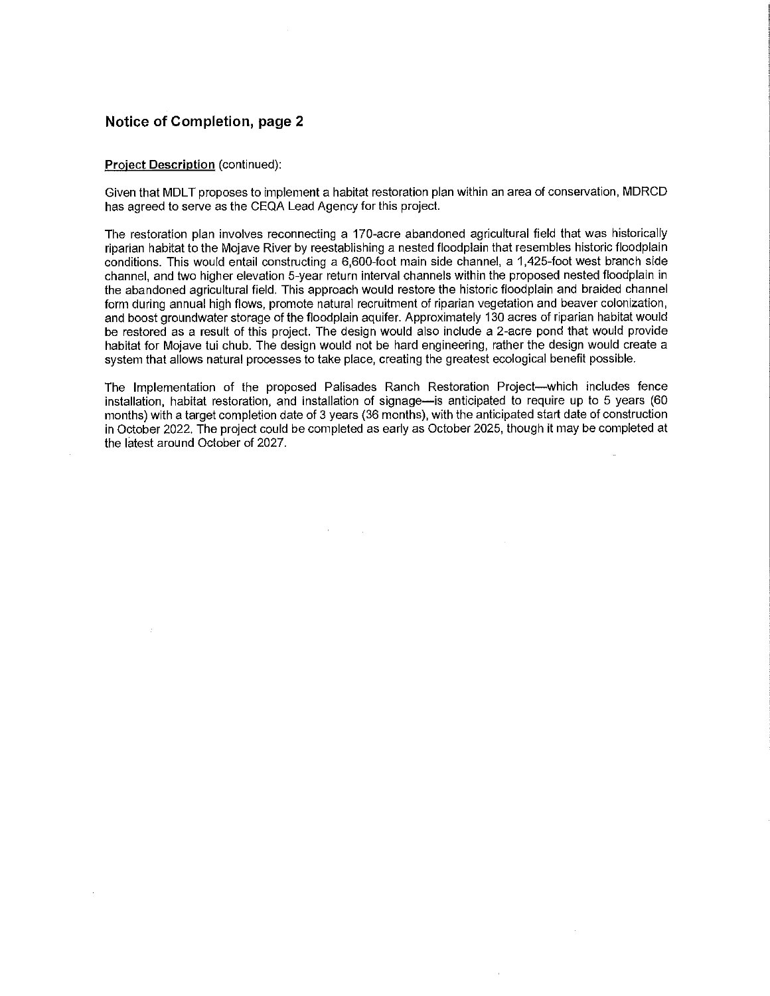## **Notice of Completion, page 2**

## **Project Description** (continued):

Given that MDLT proposes to implement a habitat restoration plan within an area of conservation, MDRCD has agreed to serve as the CEQA Lead Agency for this project.

The restoration plan involves reconnecting a 170-acre abandoned agricultural field that was historically riparian habitat to the Mojave River by reestablishing a nested floodplain that resembles historic floodplain conditions. This would entail constructing a 6,600-foot main side channel, a 1,425-foot west branch side channel, and two higher elevation 5-year return interval channels within the proposed nested floodplain in the abandoned agricultural field. This approach would restore the historic floodplain and braided channel form during annual high flows, promote natural recruitment of riparian vegetation and beaver colonization, and boost groundwater storage of the floodplain aquifer. Approximately 130 acres of riparian habitat would be restored as a result of this project. The design would also include a 2-acre pond that would provide habitat for Mojave tui chub. The design would not be hard engineering, rather the design would create a system that allows natural processes to take place, creating the greatest ecological benefit possible.

The Implementation of the proposed Palisades Ranch Restoration Project--which includes fence installation, habitat restoration, and installation of signage--is anticipated to require up to 5 years (60 months) with a target completion date of 3 years (36 months), with the anticipated start date of construction in October 2022. The project could be completed as early as October 2025, though it may be completed at the latest around October of 2027.